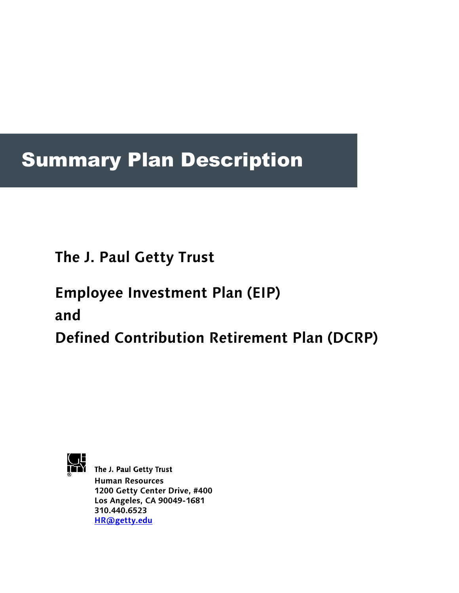# Summary Plan Description

**The J. Paul Getty Trust** 

**Employee Investment Plan (EIP)** 

**and** 

٦ **Defined Contribution Retirement Plan (DCRP)** 



The J. Paul Getty Trust

**Human Resources 1200 Getty Center Drive, #400 Los Angeles, CA 90049-1681 310.440.6523 HR@getty.edu**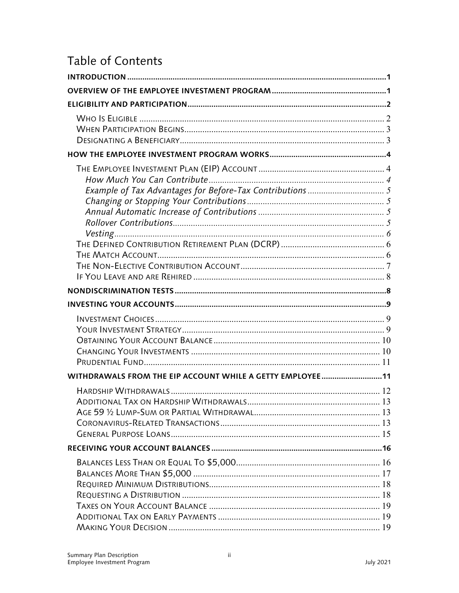# Table of Contents

| WITHDRAWALS FROM THE EIP ACCOUNT WHILE A GETTY EMPLOYEE11 |
|-----------------------------------------------------------|
|                                                           |
|                                                           |
|                                                           |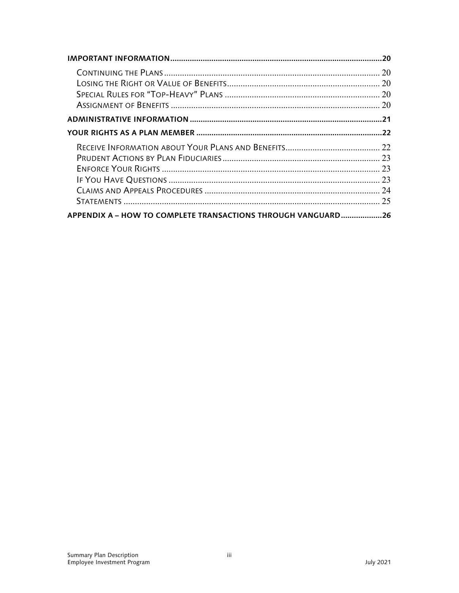|                                                              | . 20 |
|--------------------------------------------------------------|------|
|                                                              |      |
|                                                              |      |
|                                                              |      |
|                                                              |      |
|                                                              |      |
|                                                              |      |
|                                                              |      |
|                                                              |      |
|                                                              |      |
|                                                              |      |
|                                                              |      |
|                                                              |      |
| APPENDIX A - HOW TO COMPLETE TRANSACTIONS THROUGH VANGUARD26 |      |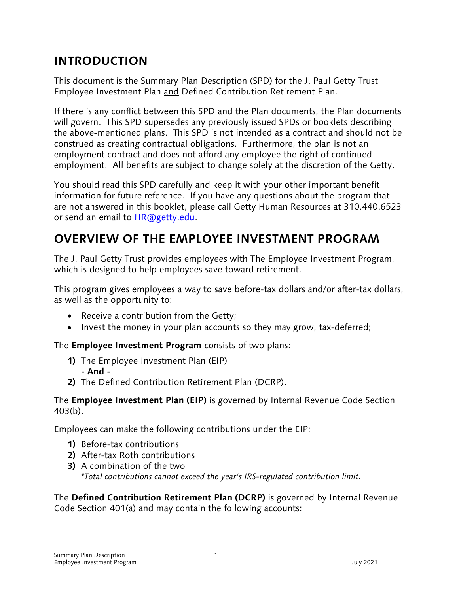# **INTRODUCTION**

This document is the Summary Plan Description (SPD) for the J. Paul Getty Trust Employee Investment Plan and Defined Contribution Retirement Plan.

If there is any conflict between this SPD and the Plan documents, the Plan documents will govern. This SPD supersedes any previously issued SPDs or booklets describing the above-mentioned plans. This SPD is not intended as a contract and should not be construed as creating contractual obligations. Furthermore, the plan is not an employment contract and does not afford any employee the right of continued employment. All benefits are subject to change solely at the discretion of the Getty.

You should read this SPD carefully and keep it with your other important benefit information for future reference. If you have any questions about the program that are not answered in this booklet, please call Getty Human Resources at 310.440.6523 or send an email to **HR@getty.edu**.

# **OVERVIEW OF THE EMPLOYEE INVESTMENT PROGRAM**

The J. Paul Getty Trust provides employees with The Employee Investment Program, which is designed to help employees save toward retirement.

This program gives employees a way to save before-tax dollars and/or after-tax dollars, as well as the opportunity to:

- Receive a contribution from the Getty,
- Invest the money in your plan accounts so they may grow, tax-deferred;

The **Employee Investment Program** consists of two plans:

- **1)** The Employee Investment Plan (EIP) **- And -**
- **2)** The Defined Contribution Retirement Plan (DCRP).

The **Employee Investment Plan (EIP)** is governed by Internal Revenue Code Section 403(b).

Employees can make the following contributions under the EIP:

- **1)** Before-tax contributions
- **2)** After-tax Roth contributions
- **3)** A combination of the two *\*Total contributions cannot exceed the year's IRS-regulated contribution limit.*

The **Defined Contribution Retirement Plan (DCRP)** is governed by Internal Revenue Code Section 401(a) and may contain the following accounts: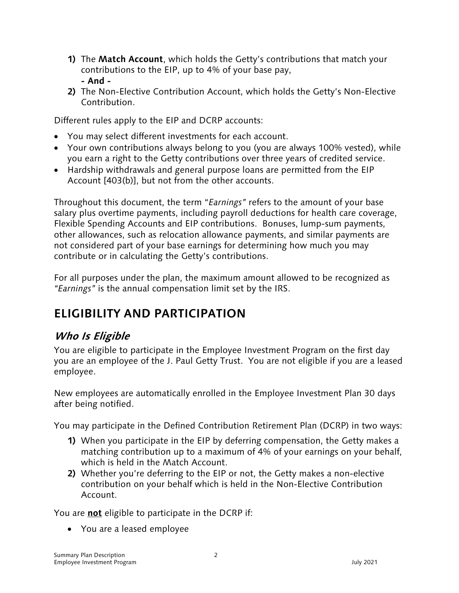- **1)** The **Match Account**, which holds the Getty's contributions that match your contributions to the EIP, up to 4% of your base pay, **- And -**
- **2)** The Non-Elective Contribution Account, which holds the Getty's Non-Elective Contribution.

Different rules apply to the EIP and DCRP accounts:

- You may select different investments for each account.
- Your own contributions always belong to you (you are always 100% vested), while you earn a right to the Getty contributions over three years of credited service.
- Hardship withdrawals and general purpose loans are permitted from the EIP Account [403(b)], but not from the other accounts.

Throughout this document, the term "*Earnings"* refers to the amount of your base salary plus overtime payments, including payroll deductions for health care coverage, Flexible Spending Accounts and EIP contributions. Bonuses, lump-sum payments, other allowances, such as relocation allowance payments, and similar payments are not considered part of your base earnings for determining how much you may contribute or in calculating the Getty's contributions.

For all purposes under the plan, the maximum amount allowed to be recognized as *"Earnings"* is the annual compensation limit set by the IRS.

# **ELIGIBILITY AND PARTICIPATION**

## **Who Is Eligible**

You are eligible to participate in the Employee Investment Program on the first day you are an employee of the J. Paul Getty Trust. You are not eligible if you are a leased employee.

New employees are automatically enrolled in the Employee Investment Plan 30 days after being notified.

You may participate in the Defined Contribution Retirement Plan (DCRP) in two ways:

- **1)** When you participate in the EIP by deferring compensation, the Getty makes a matching contribution up to a maximum of 4% of your earnings on your behalf, which is held in the Match Account.
- **2)** Whether you're deferring to the EIP or not, the Getty makes a non-elective contribution on your behalf which is held in the Non-Elective Contribution Account.

You are **not** eligible to participate in the DCRP if:

You are a leased employee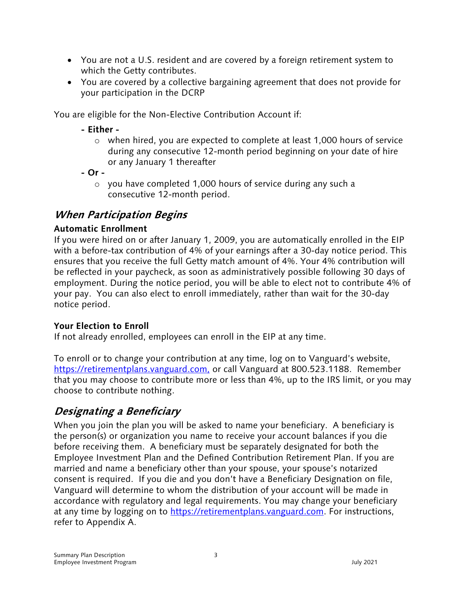- You are not a U.S. resident and are covered by a foreign retirement system to which the Getty contributes.
- You are covered by a collective bargaining agreement that does not provide for your participation in the DCRP

You are eligible for the Non-Elective Contribution Account if:

- **- Either** 
	- o when hired, you are expected to complete at least 1,000 hours of service during any consecutive 12-month period beginning on your date of hire or any January 1 thereafter
- **- Or** 
	- o you have completed 1,000 hours of service during any such a consecutive 12-month period.

#### **When Participation Begins**

#### **Automatic Enrollment**

If you were hired on or after January 1, 2009, you are automatically enrolled in the EIP with a before-tax contribution of 4% of your earnings after a 30-day notice period. This ensures that you receive the full Getty match amount of 4%. Your 4% contribution will be reflected in your paycheck, as soon as administratively possible following 30 days of employment. During the notice period, you will be able to elect not to contribute 4% of your pay. You can also elect to enroll immediately, rather than wait for the 30-day notice period.

#### **Your Election to Enroll**

If not already enrolled, employees can enroll in the EIP at any time.

To enroll or to change your contribution at any time, log on to Vanguard's website, https://retirementplans.vanguard.com, or call Vanguard at 800.523.1188. Remember that you may choose to contribute more or less than 4%, up to the IRS limit, or you may choose to contribute nothing.

## **Designating a Beneficiary**

When you join the plan you will be asked to name your beneficiary. A beneficiary is the person(s) or organization you name to receive your account balances if you die before receiving them. A beneficiary must be separately designated for both the Employee Investment Plan and the Defined Contribution Retirement Plan. If you are married and name a beneficiary other than your spouse, your spouse's notarized consent is required. If you die and you don't have a Beneficiary Designation on file, Vanguard will determine to whom the distribution of your account will be made in accordance with regulatory and legal requirements. You may change your beneficiary at any time by logging on to https://retirementplans.vanguard.com. For instructions, refer to Appendix A.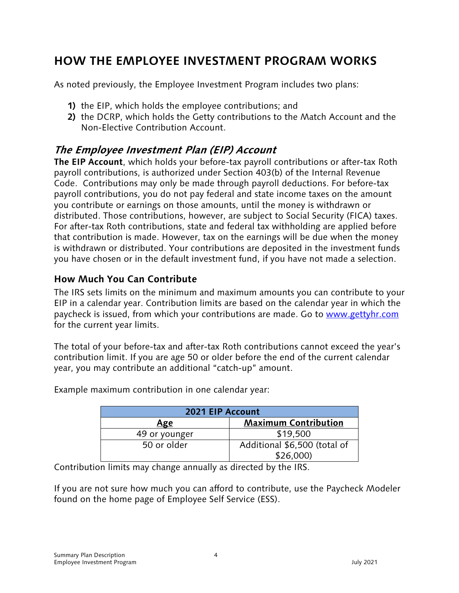# **HOW THE EMPLOYEE INVESTMENT PROGRAM WORKS**

As noted previously, the Employee Investment Program includes two plans:

- **1)** the EIP, which holds the employee contributions; and
- **2)** the DCRP, which holds the Getty contributions to the Match Account and the Non-Elective Contribution Account.

# **The Employee Investment Plan (EIP) Account**

**The EIP Account**, which holds your before-tax payroll contributions or after-tax Roth payroll contributions, is authorized under Section 403(b) of the Internal Revenue Code. Contributions may only be made through payroll deductions. For before-tax payroll contributions, you do not pay federal and state income taxes on the amount you contribute or earnings on those amounts, until the money is withdrawn or distributed. Those contributions, however, are subject to Social Security (FICA) taxes. For after-tax Roth contributions, state and federal tax withholding are applied before that contribution is made. However, tax on the earnings will be due when the money is withdrawn or distributed. Your contributions are deposited in the investment funds you have chosen or in the default investment fund, if you have not made a selection.

#### **How Much You Can Contribute**

The IRS sets limits on the minimum and maximum amounts you can contribute to your EIP in a calendar year. Contribution limits are based on the calendar year in which the paycheck is issued, from which your contributions are made. Go to www.gettyhr.com for the current year limits.

The total of your before-tax and after-tax Roth contributions cannot exceed the year's contribution limit. If you are age 50 or older before the end of the current calendar year, you may contribute an additional "catch-up" amount.

| 2021 EIP Account |                              |
|------------------|------------------------------|
| <u>Age</u>       | <b>Maximum Contribution</b>  |
| 49 or younger    | \$19,500                     |
| 50 or older      | Additional \$6,500 (total of |
|                  | \$26,000                     |

Example maximum contribution in one calendar year:

Contribution limits may change annually as directed by the IRS.

If you are not sure how much you can afford to contribute, use the Paycheck Modeler found on the home page of Employee Self Service (ESS).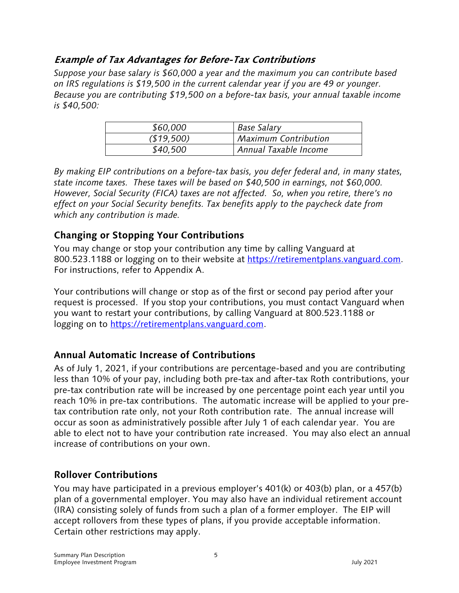#### **Example of Tax Advantages for Before-Tax Contributions**

*Suppose your base salary is \$60,000 a year and the maximum you can contribute based on IRS regulations is \$19,500 in the current calendar year if you are 49 or younger. Because you are contributing \$19,500 on a before-tax basis, your annual taxable income is \$40,500:* 

| \$60,000    | <b>Base Salary</b>          |
|-------------|-----------------------------|
| ( \$19,500) | <b>Maximum Contribution</b> |
| \$40,500    | Annual Taxable Income       |

*By making EIP contributions on a before-tax basis, you defer federal and, in many states, state income taxes. These taxes will be based on \$40,500 in earnings, not \$60,000. However, Social Security (FICA) taxes are not affected. So, when you retire, there's no effect on your Social Security benefits. Tax benefits apply to the paycheck date from which any contribution is made.* 

#### **Changing or Stopping Your Contributions**

You may change or stop your contribution any time by calling Vanguard at 800.523.1188 or logging on to their website at https://retirementplans.vanguard.com. For instructions, refer to Appendix A.

Your contributions will change or stop as of the first or second pay period after your request is processed. If you stop your contributions, you must contact Vanguard when you want to restart your contributions, by calling Vanguard at 800.523.1188 or logging on to https://retirementplans.vanguard.com.

#### **Annual Automatic Increase of Contributions**

As of July 1, 2021, if your contributions are percentage-based and you are contributing less than 10% of your pay, including both pre-tax and after-tax Roth contributions, your pre-tax contribution rate will be increased by one percentage point each year until you reach 10% in pre-tax contributions. The automatic increase will be applied to your pretax contribution rate only, not your Roth contribution rate. The annual increase will occur as soon as administratively possible after July 1 of each calendar year. You are able to elect not to have your contribution rate increased. You may also elect an annual increase of contributions on your own.

#### **Rollover Contributions**

You may have participated in a previous employer's 401(k) or 403(b) plan, or a 457(b) plan of a governmental employer. You may also have an individual retirement account (IRA) consisting solely of funds from such a plan of a former employer. The EIP will accept rollovers from these types of plans, if you provide acceptable information. Certain other restrictions may apply.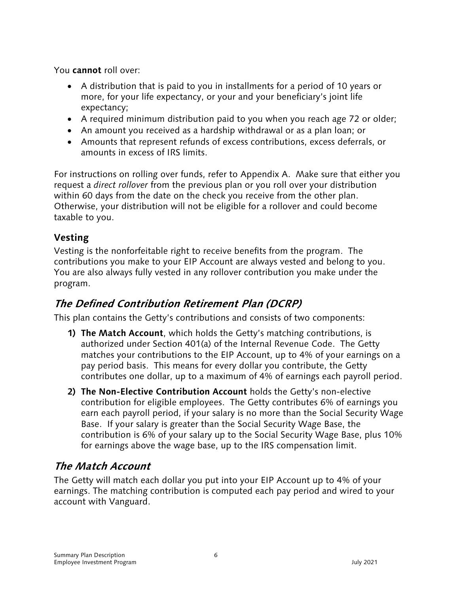You **cannot** roll over:

- A distribution that is paid to you in installments for a period of 10 years or more, for your life expectancy, or your and your beneficiary's joint life expectancy;
- A required minimum distribution paid to you when you reach age 72 or older;
- An amount you received as a hardship withdrawal or as a plan loan; or
- Amounts that represent refunds of excess contributions, excess deferrals, or amounts in excess of IRS limits.

For instructions on rolling over funds, refer to Appendix A. Make sure that either you request a *direct rollover* from the previous plan or you roll over your distribution within 60 days from the date on the check you receive from the other plan. Otherwise, your distribution will not be eligible for a rollover and could become taxable to you.

#### **Vesting**

Vesting is the nonforfeitable right to receive benefits from the program. The contributions you make to your EIP Account are always vested and belong to you. You are also always fully vested in any rollover contribution you make under the program.

## **The Defined Contribution Retirement Plan (DCRP)**

This plan contains the Getty's contributions and consists of two components:

- **1) The Match Account**, which holds the Getty's matching contributions, is authorized under Section 401(a) of the Internal Revenue Code. The Getty matches your contributions to the EIP Account, up to 4% of your earnings on a pay period basis. This means for every dollar you contribute, the Getty contributes one dollar, up to a maximum of 4% of earnings each payroll period.
- **2) The Non-Elective Contribution Account** holds the Getty's non-elective contribution for eligible employees. The Getty contributes 6% of earnings you earn each payroll period, if your salary is no more than the Social Security Wage Base. If your salary is greater than the Social Security Wage Base, the contribution is 6% of your salary up to the Social Security Wage Base, plus 10% for earnings above the wage base, up to the IRS compensation limit.

## **The Match Account**

The Getty will match each dollar you put into your EIP Account up to 4% of your earnings. The matching contribution is computed each pay period and wired to your account with Vanguard.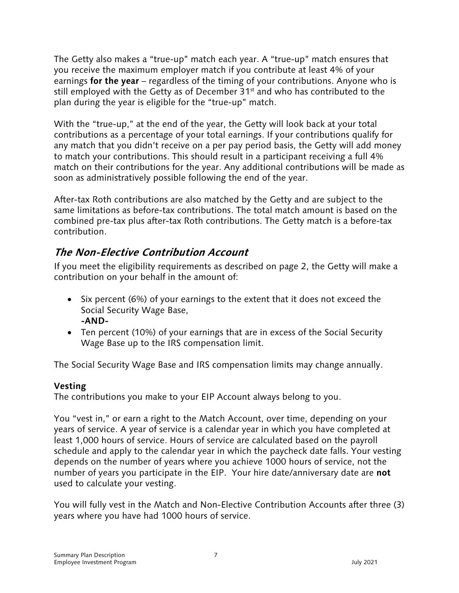The Getty also makes a "true-up" match each year. A "true-up" match ensures that you receive the maximum employer match if you contribute at least 4% of your earnings **for the year** – regardless of the timing of your contributions. Anyone who is still employed with the Getty as of December 31<sup>st</sup> and who has contributed to the plan during the year is eligible for the "true-up" match.

With the "true-up," at the end of the year, the Getty will look back at your total contributions as a percentage of your total earnings. If your contributions qualify for any match that you didn't receive on a per pay period basis, the Getty will add money to match your contributions. This should result in a participant receiving a full 4% match on their contributions for the year. Any additional contributions will be made as soon as administratively possible following the end of the year.

After-tax Roth contributions are also matched by the Getty and are subject to the same limitations as before-tax contributions. The total match amount is based on the combined pre-tax plus after-tax Roth contributions. The Getty match is a before-tax contribution.

#### **The Non-Elective Contribution Account**

If you meet the eligibility requirements as described on page 2, the Getty will make a contribution on your behalf in the amount of:

- Six percent (6%) of your earnings to the extent that it does not exceed the Social Security Wage Base, **-AND-**
- Ten percent (10%) of your earnings that are in excess of the Social Security Wage Base up to the IRS compensation limit.

The Social Security Wage Base and IRS compensation limits may change annually.

#### **Vesting**

The contributions you make to your EIP Account always belong to you.

You "vest in," or earn a right to the Match Account, over time, depending on your years of service. A year of service is a calendar year in which you have completed at least 1,000 hours of service. Hours of service are calculated based on the payroll schedule and apply to the calendar year in which the paycheck date falls. Your vesting depends on the number of years where you achieve 1000 hours of service, not the number of years you participate in the EIP. Your hire date/anniversary date are **not** used to calculate your vesting.

You will fully vest in the Match and Non-Elective Contribution Accounts after three (3) years where you have had 1000 hours of service.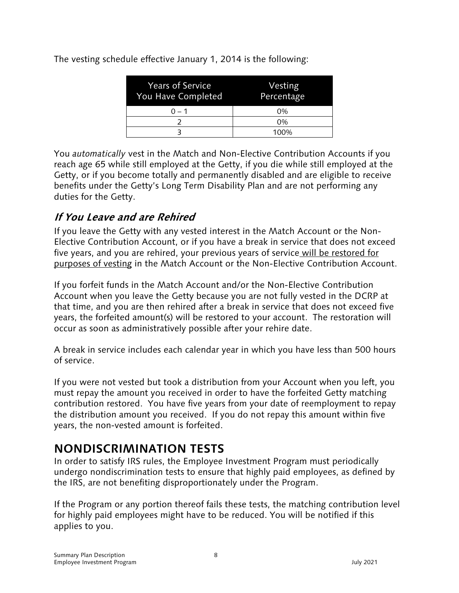| Years of Service<br>You Have Completed | Vesting<br>Percentage |
|----------------------------------------|-----------------------|
| $0 - 1$                                | 0%                    |
|                                        | 0%                    |
|                                        | 100%                  |

The vesting schedule effective January 1, 2014 is the following:

You *automatically* vest in the Match and Non-Elective Contribution Accounts if you reach age 65 while still employed at the Getty, if you die while still employed at the Getty, or if you become totally and permanently disabled and are eligible to receive benefits under the Getty's Long Term Disability Plan and are not performing any duties for the Getty.

## **If You Leave and are Rehired**

If you leave the Getty with any vested interest in the Match Account or the Non-Elective Contribution Account, or if you have a break in service that does not exceed five years, and you are rehired, your previous years of service will be restored for purposes of vesting in the Match Account or the Non-Elective Contribution Account.

If you forfeit funds in the Match Account and/or the Non-Elective Contribution Account when you leave the Getty because you are not fully vested in the DCRP at that time, and you are then rehired after a break in service that does not exceed five years, the forfeited amount(s) will be restored to your account. The restoration will occur as soon as administratively possible after your rehire date.

A break in service includes each calendar year in which you have less than 500 hours of service.

If you were not vested but took a distribution from your Account when you left, you must repay the amount you received in order to have the forfeited Getty matching contribution restored. You have five years from your date of reemployment to repay the distribution amount you received. If you do not repay this amount within five years, the non-vested amount is forfeited.

# **NONDISCRIMINATION TESTS**

In order to satisfy IRS rules, the Employee Investment Program must periodically undergo nondiscrimination tests to ensure that highly paid employees, as defined by the IRS, are not benefiting disproportionately under the Program.

If the Program or any portion thereof fails these tests, the matching contribution level for highly paid employees might have to be reduced. You will be notified if this applies to you.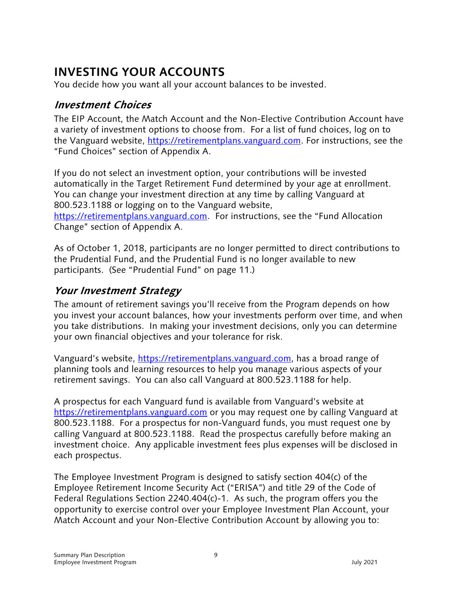# **INVESTING YOUR ACCOUNTS**

You decide how you want all your account balances to be invested.

#### **Investment Choices**

The EIP Account, the Match Account and the Non-Elective Contribution Account have a variety of investment options to choose from. For a list of fund choices, log on to the Vanguard website, https://retirementplans.vanguard.com. For instructions, see the "Fund Choices" section of Appendix A.

If you do not select an investment option, your contributions will be invested automatically in the Target Retirement Fund determined by your age at enrollment. You can change your investment direction at any time by calling Vanguard at 800.523.1188 or logging on to the Vanguard website, https://retirementplans.vanguard.com. For instructions, see the "Fund Allocation Change" section of Appendix A.

As of October 1, 2018, participants are no longer permitted to direct contributions to the Prudential Fund, and the Prudential Fund is no longer available to new participants. (See "Prudential Fund" on page 11.)

#### **Your Investment Strategy**

The amount of retirement savings you'll receive from the Program depends on how you invest your account balances, how your investments perform over time, and when you take distributions. In making your investment decisions, only you can determine your own financial objectives and your tolerance for risk.

Vanguard's website, https://retirementplans.vanguard.com, has a broad range of planning tools and learning resources to help you manage various aspects of your retirement savings. You can also call Vanguard at 800.523.1188 for help.

A prospectus for each Vanguard fund is available from Vanguard's website at https://retirementplans.vanguard.com or you may request one by calling Vanguard at 800.523.1188. For a prospectus for non-Vanguard funds, you must request one by calling Vanguard at 800.523.1188. Read the prospectus carefully before making an investment choice. Any applicable investment fees plus expenses will be disclosed in each prospectus.

The Employee Investment Program is designed to satisfy section 404(c) of the Employee Retirement Income Security Act ("ERISA") and title 29 of the Code of Federal Regulations Section 2240.404(c)-1. As such, the program offers you the opportunity to exercise control over your Employee Investment Plan Account, your Match Account and your Non-Elective Contribution Account by allowing you to: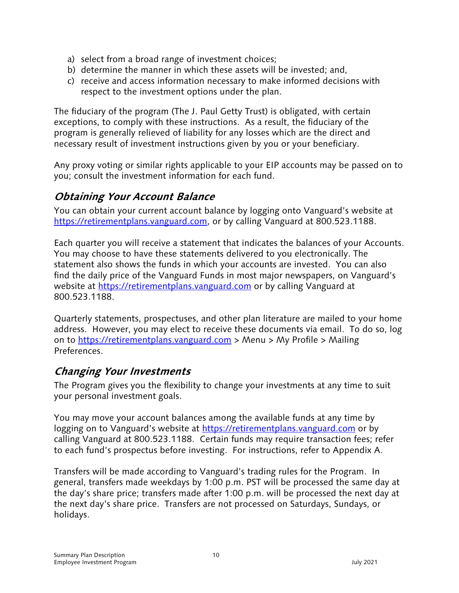- a) select from a broad range of investment choices;
- b) determine the manner in which these assets will be invested; and,
- c) receive and access information necessary to make informed decisions with respect to the investment options under the plan.

The fiduciary of the program (The J. Paul Getty Trust) is obligated, with certain exceptions, to comply with these instructions. As a result, the fiduciary of the program is generally relieved of liability for any losses which are the direct and necessary result of investment instructions given by you or your beneficiary.

Any proxy voting or similar rights applicable to your EIP accounts may be passed on to you; consult the investment information for each fund.

#### **Obtaining Your Account Balance**

You can obtain your current account balance by logging onto Vanguard's website at https://retirementplans.vanguard.com, or by calling Vanguard at 800.523.1188.

Each quarter you will receive a statement that indicates the balances of your Accounts. You may choose to have these statements delivered to you electronically. The statement also shows the funds in which your accounts are invested. You can also find the daily price of the Vanguard Funds in most major newspapers, on Vanguard's website at https://retirementplans.vanguard.com or by calling Vanguard at 800.523.1188.

Quarterly statements, prospectuses, and other plan literature are mailed to your home address. However, you may elect to receive these documents via email. To do so, log on to https://retirementplans.vanguard.com > Menu > My Profile > Mailing Preferences.

## **Changing Your Investments**

The Program gives you the flexibility to change your investments at any time to suit your personal investment goals.

You may move your account balances among the available funds at any time by logging on to Vanguard's website at https://retirementplans.vanguard.com or by calling Vanguard at 800.523.1188. Certain funds may require transaction fees; refer to each fund's prospectus before investing. For instructions, refer to Appendix A.

Transfers will be made according to Vanguard's trading rules for the Program. In general, transfers made weekdays by 1:00 p.m. PST will be processed the same day at the day's share price; transfers made after 1:00 p.m. will be processed the next day at the next day's share price. Transfers are not processed on Saturdays, Sundays, or holidays.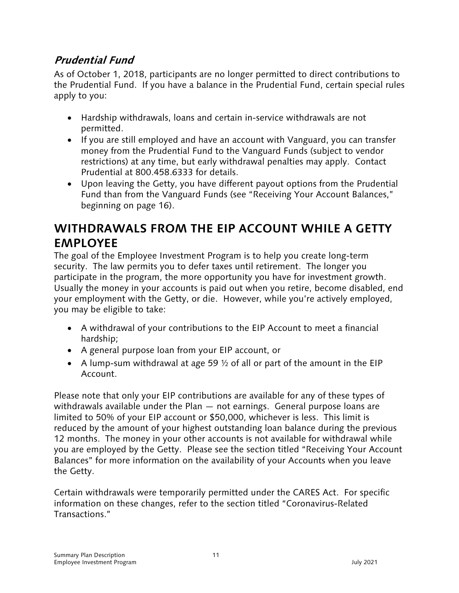#### **Prudential Fund**

As of October 1, 2018, participants are no longer permitted to direct contributions to the Prudential Fund. If you have a balance in the Prudential Fund, certain special rules apply to you:

- Hardship withdrawals, loans and certain in-service withdrawals are not permitted.
- If you are still employed and have an account with Vanguard, you can transfer money from the Prudential Fund to the Vanguard Funds (subject to vendor restrictions) at any time, but early withdrawal penalties may apply. Contact Prudential at 800.458.6333 for details.
- Upon leaving the Getty, you have different payout options from the Prudential Fund than from the Vanguard Funds (see "Receiving Your Account Balances," beginning on page 16).

# **WITHDRAWALS FROM THE EIP ACCOUNT WHILE A GETTY EMPLOYEE**

The goal of the Employee Investment Program is to help you create long-term security. The law permits you to defer taxes until retirement. The longer you participate in the program, the more opportunity you have for investment growth. Usually the money in your accounts is paid out when you retire, become disabled, end your employment with the Getty, or die. However, while you're actively employed, you may be eligible to take:

- A withdrawal of your contributions to the EIP Account to meet a financial hardship;
- A general purpose loan from your EIP account, or
- A lump-sum withdrawal at age 59  $\frac{1}{2}$  of all or part of the amount in the EIP Account.

Please note that only your EIP contributions are available for any of these types of withdrawals available under the Plan — not earnings. General purpose loans are limited to 50% of your EIP account or \$50,000, whichever is less. This limit is reduced by the amount of your highest outstanding loan balance during the previous 12 months. The money in your other accounts is not available for withdrawal while you are employed by the Getty. Please see the section titled "Receiving Your Account Balances" for more information on the availability of your Accounts when you leave the Getty.

Certain withdrawals were temporarily permitted under the CARES Act. For specific information on these changes, refer to the section titled "Coronavirus-Related Transactions."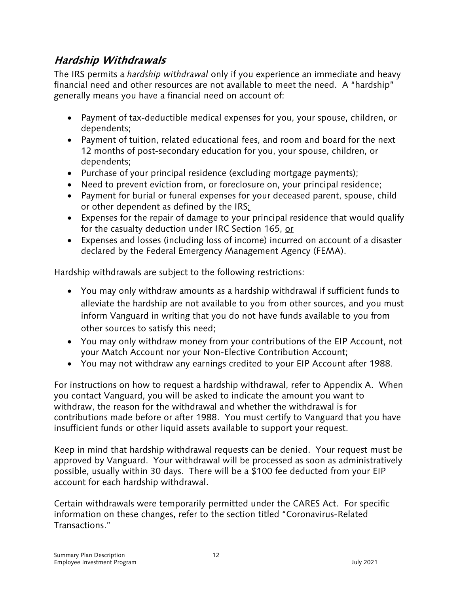#### **Hardship Withdrawals**

The IRS permits a *hardship withdrawal* only if you experience an immediate and heavy financial need and other resources are not available to meet the need. A "hardship" generally means you have a financial need on account of:

- Payment of tax-deductible medical expenses for you, your spouse, children, or dependents;
- Payment of tuition, related educational fees, and room and board for the next 12 months of post-secondary education for you, your spouse, children, or dependents;
- Purchase of your principal residence (excluding mortgage payments);
- Need to prevent eviction from, or foreclosure on, your principal residence;
- Payment for burial or funeral expenses for your deceased parent, spouse, child or other dependent as defined by the IRS;
- Expenses for the repair of damage to your principal residence that would qualify for the casualty deduction under IRC Section 165, or
- Expenses and losses (including loss of income) incurred on account of a disaster declared by the Federal Emergency Management Agency (FEMA).

Hardship withdrawals are subject to the following restrictions:

- You may only withdraw amounts as a hardship withdrawal if sufficient funds to alleviate the hardship are not available to you from other sources, and you must inform Vanguard in writing that you do not have funds available to you from other sources to satisfy this need;
- You may only withdraw money from your contributions of the EIP Account, not your Match Account nor your Non-Elective Contribution Account;
- You may not withdraw any earnings credited to your EIP Account after 1988.

For instructions on how to request a hardship withdrawal, refer to Appendix A. When you contact Vanguard, you will be asked to indicate the amount you want to withdraw, the reason for the withdrawal and whether the withdrawal is for contributions made before or after 1988. You must certify to Vanguard that you have insufficient funds or other liquid assets available to support your request.

Keep in mind that hardship withdrawal requests can be denied. Your request must be approved by Vanguard. Your withdrawal will be processed as soon as administratively possible, usually within 30 days. There will be a \$100 fee deducted from your EIP account for each hardship withdrawal.

Certain withdrawals were temporarily permitted under the CARES Act. For specific information on these changes, refer to the section titled "Coronavirus-Related Transactions."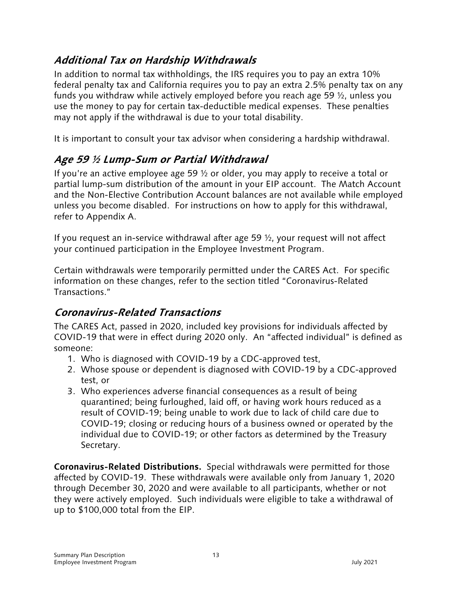## **Additional Tax on Hardship Withdrawals**

In addition to normal tax withholdings, the IRS requires you to pay an extra 10% federal penalty tax and California requires you to pay an extra 2.5% penalty tax on any funds you withdraw while actively employed before you reach age 59 ½, unless you use the money to pay for certain tax-deductible medical expenses. These penalties may not apply if the withdrawal is due to your total disability.

It is important to consult your tax advisor when considering a hardship withdrawal.

# **Age 59 ½ Lump-Sum or Partial Withdrawal**

If you're an active employee age 59  $\frac{1}{2}$  or older, you may apply to receive a total or partial lump-sum distribution of the amount in your EIP account. The Match Account and the Non-Elective Contribution Account balances are not available while employed unless you become disabled. For instructions on how to apply for this withdrawal, refer to Appendix A.

If you request an in-service withdrawal after age 59 ½, your request will not affect your continued participation in the Employee Investment Program.

Certain withdrawals were temporarily permitted under the CARES Act. For specific information on these changes, refer to the section titled "Coronavirus-Related Transactions."

## **Coronavirus-Related Transactions**

The CARES Act, passed in 2020, included key provisions for individuals affected by COVID-19 that were in effect during 2020 only. An "affected individual" is defined as someone:

- 1. Who is diagnosed with COVID-19 by a CDC-approved test,
- 2. Whose spouse or dependent is diagnosed with COVID-19 by a CDC-approved test, or
- 3. Who experiences adverse financial consequences as a result of being quarantined; being furloughed, laid off, or having work hours reduced as a result of COVID-19; being unable to work due to lack of child care due to COVID-19; closing or reducing hours of a business owned or operated by the individual due to COVID-19; or other factors as determined by the Treasury Secretary.

**Coronavirus-Related Distributions.** Special withdrawals were permitted for those affected by COVID-19. These withdrawals were available only from January 1, 2020 through December 30, 2020 and were available to all participants, whether or not they were actively employed. Such individuals were eligible to take a withdrawal of up to \$100,000 total from the EIP.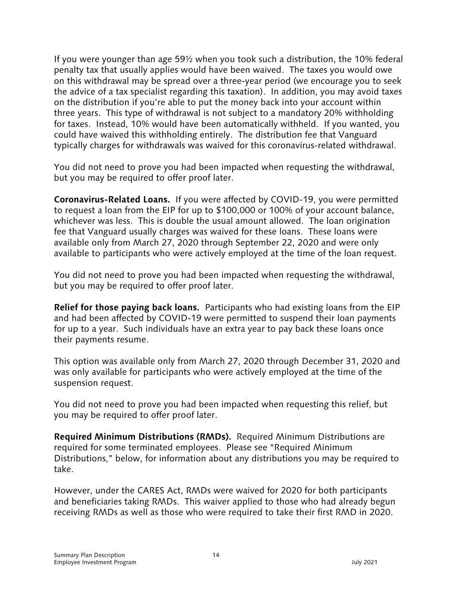If you were younger than age 59½ when you took such a distribution, the 10% federal penalty tax that usually applies would have been waived. The taxes you would owe on this withdrawal may be spread over a three-year period (we encourage you to seek the advice of a tax specialist regarding this taxation). In addition, you may avoid taxes on the distribution if you're able to put the money back into your account within three years. This type of withdrawal is not subject to a mandatory 20% withholding for taxes. Instead, 10% would have been automatically withheld. If you wanted, you could have waived this withholding entirely. The distribution fee that Vanguard typically charges for withdrawals was waived for this coronavirus-related withdrawal.

You did not need to prove you had been impacted when requesting the withdrawal, but you may be required to offer proof later.

**Coronavirus-Related Loans.** If you were affected by COVID-19, you were permitted to request a loan from the EIP for up to \$100,000 or 100% of your account balance, whichever was less. This is double the usual amount allowed. The loan origination fee that Vanguard usually charges was waived for these loans. These loans were available only from March 27, 2020 through September 22, 2020 and were only available to participants who were actively employed at the time of the loan request.

You did not need to prove you had been impacted when requesting the withdrawal, but you may be required to offer proof later.

**Relief for those paying back loans.** Participants who had existing loans from the EIP and had been affected by COVID-19 were permitted to suspend their loan payments for up to a year. Such individuals have an extra year to pay back these loans once their payments resume.

This option was available only from March 27, 2020 through December 31, 2020 and was only available for participants who were actively employed at the time of the suspension request.

You did not need to prove you had been impacted when requesting this relief, but you may be required to offer proof later.

**Required Minimum Distributions (RMDs).** Required Minimum Distributions are required for some terminated employees. Please see "Required Minimum Distributions," below, for information about any distributions you may be required to take.

However, under the CARES Act, RMDs were waived for 2020 for both participants and beneficiaries taking RMDs. This waiver applied to those who had already begun receiving RMDs as well as those who were required to take their first RMD in 2020.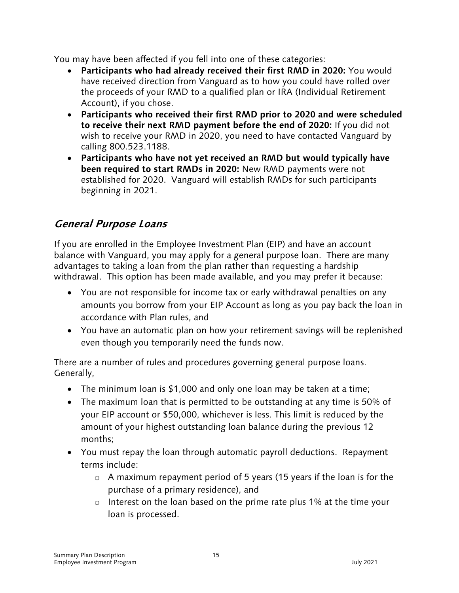You may have been affected if you fell into one of these categories:

- **Participants who had already received their first RMD in 2020:** You would have received direction from Vanguard as to how you could have rolled over the proceeds of your RMD to a qualified plan or IRA (Individual Retirement Account), if you chose.
- **Participants who received their first RMD prior to 2020 and were scheduled to receive their next RMD payment before the end of 2020:** If you did not wish to receive your RMD in 2020, you need to have contacted Vanguard by calling 800.523.1188.
- **Participants who have not yet received an RMD but would typically have been required to start RMDs in 2020:** New RMD payments were not established for 2020. Vanguard will establish RMDs for such participants beginning in 2021.

# **General Purpose Loans**

If you are enrolled in the Employee Investment Plan (EIP) and have an account balance with Vanguard, you may apply for a general purpose loan. There are many advantages to taking a loan from the plan rather than requesting a hardship withdrawal. This option has been made available, and you may prefer it because:

- You are not responsible for income tax or early withdrawal penalties on any amounts you borrow from your EIP Account as long as you pay back the loan in accordance with Plan rules, and
- You have an automatic plan on how your retirement savings will be replenished even though you temporarily need the funds now.

There are a number of rules and procedures governing general purpose loans. Generally,

- The minimum loan is \$1,000 and only one loan may be taken at a time;
- The maximum loan that is permitted to be outstanding at any time is 50% of your EIP account or \$50,000, whichever is less. This limit is reduced by the amount of your highest outstanding loan balance during the previous 12 months;
- You must repay the loan through automatic payroll deductions. Repayment terms include:
	- o A maximum repayment period of 5 years (15 years if the loan is for the purchase of a primary residence), and
	- o Interest on the loan based on the prime rate plus 1% at the time your loan is processed.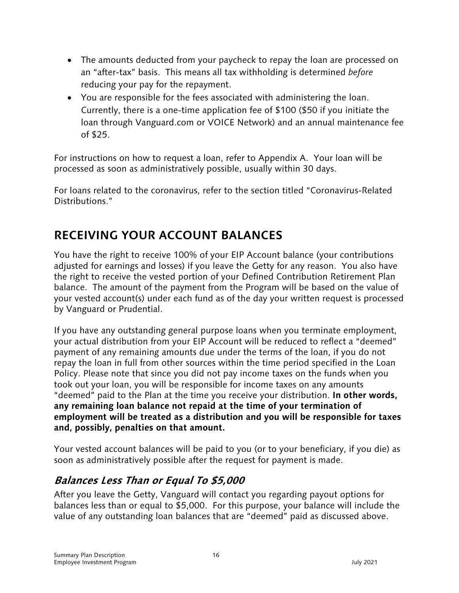- The amounts deducted from your paycheck to repay the loan are processed on an "after-tax" basis. This means all tax withholding is determined *before* reducing your pay for the repayment.
- You are responsible for the fees associated with administering the loan. Currently, there is a one-time application fee of \$100 (\$50 if you initiate the loan through Vanguard.com or VOICE Network) and an annual maintenance fee of \$25.

For instructions on how to request a loan, refer to Appendix A. Your loan will be processed as soon as administratively possible, usually within 30 days.

For loans related to the coronavirus, refer to the section titled "Coronavirus-Related Distributions."

# **RECEIVING YOUR ACCOUNT BALANCES**

You have the right to receive 100% of your EIP Account balance (your contributions adjusted for earnings and losses) if you leave the Getty for any reason. You also have the right to receive the vested portion of your Defined Contribution Retirement Plan balance. The amount of the payment from the Program will be based on the value of your vested account(s) under each fund as of the day your written request is processed by Vanguard or Prudential.

If you have any outstanding general purpose loans when you terminate employment, your actual distribution from your EIP Account will be reduced to reflect a "deemed" payment of any remaining amounts due under the terms of the loan, if you do not repay the loan in full from other sources within the time period specified in the Loan Policy. Please note that since you did not pay income taxes on the funds when you took out your loan, you will be responsible for income taxes on any amounts "deemed" paid to the Plan at the time you receive your distribution. **In other words, any remaining loan balance not repaid at the time of your termination of employment will be treated as a distribution and you will be responsible for taxes and, possibly, penalties on that amount.** 

Your vested account balances will be paid to you (or to your beneficiary, if you die) as soon as administratively possible after the request for payment is made.

#### **Balances Less Than or Equal To \$5,000**

After you leave the Getty, Vanguard will contact you regarding payout options for balances less than or equal to \$5,000. For this purpose, your balance will include the value of any outstanding loan balances that are "deemed" paid as discussed above.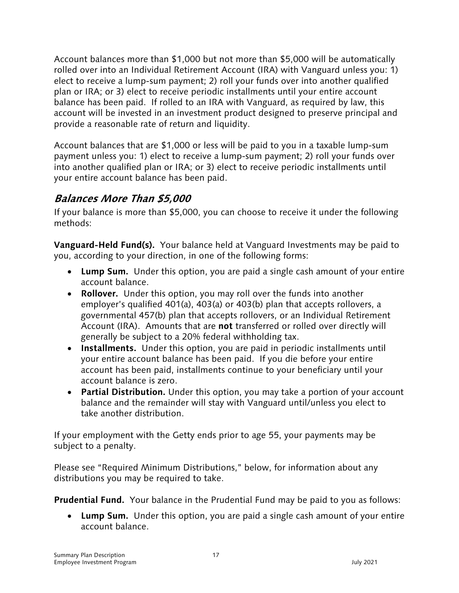Account balances more than \$1,000 but not more than \$5,000 will be automatically rolled over into an Individual Retirement Account (IRA) with Vanguard unless you: 1) elect to receive a lump-sum payment; 2) roll your funds over into another qualified plan or IRA; or 3) elect to receive periodic installments until your entire account balance has been paid. If rolled to an IRA with Vanguard, as required by law, this account will be invested in an investment product designed to preserve principal and provide a reasonable rate of return and liquidity.

Account balances that are \$1,000 or less will be paid to you in a taxable lump-sum payment unless you: 1) elect to receive a lump-sum payment; 2) roll your funds over into another qualified plan or IRA; or 3) elect to receive periodic installments until your entire account balance has been paid.

## **Balances More Than \$5,000**

If your balance is more than \$5,000, you can choose to receive it under the following methods:

**Vanguard-Held Fund(s).** Your balance held at Vanguard Investments may be paid to you, according to your direction, in one of the following forms:

- **Lump Sum.** Under this option, you are paid a single cash amount of your entire account balance.
- **Rollover.** Under this option, you may roll over the funds into another employer's qualified 401(a), 403(a) or 403(b) plan that accepts rollovers, a governmental 457(b) plan that accepts rollovers, or an Individual Retirement Account (IRA). Amounts that are **not** transferred or rolled over directly will generally be subject to a 20% federal withholding tax.
- **Installments.** Under this option, you are paid in periodic installments until your entire account balance has been paid. If you die before your entire account has been paid, installments continue to your beneficiary until your account balance is zero.
- **Partial Distribution.** Under this option, you may take a portion of your account balance and the remainder will stay with Vanguard until/unless you elect to take another distribution.

If your employment with the Getty ends prior to age 55, your payments may be subject to a penalty.

Please see "Required Minimum Distributions," below, for information about any distributions you may be required to take.

**Prudential Fund.** Your balance in the Prudential Fund may be paid to you as follows:

 **Lump Sum.** Under this option, you are paid a single cash amount of your entire account balance.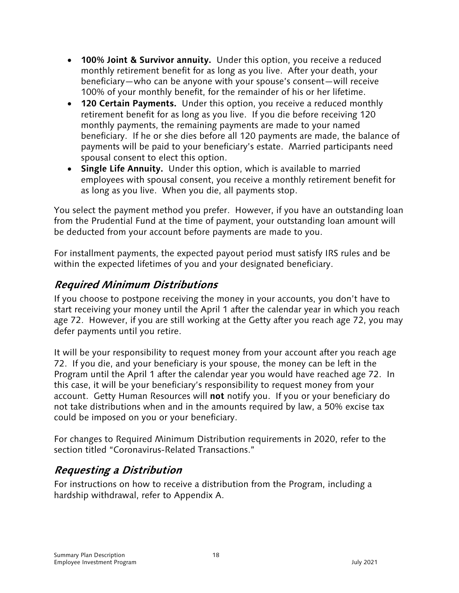- **100% Joint & Survivor annuity.** Under this option, you receive a reduced monthly retirement benefit for as long as you live. After your death, your beneficiary—who can be anyone with your spouse's consent—will receive 100% of your monthly benefit, for the remainder of his or her lifetime.
- **120 Certain Payments.** Under this option, you receive a reduced monthly retirement benefit for as long as you live. If you die before receiving 120 monthly payments, the remaining payments are made to your named beneficiary. If he or she dies before all 120 payments are made, the balance of payments will be paid to your beneficiary's estate. Married participants need spousal consent to elect this option.
- **Single Life Annuity.** Under this option, which is available to married employees with spousal consent, you receive a monthly retirement benefit for as long as you live. When you die, all payments stop.

You select the payment method you prefer. However, if you have an outstanding loan from the Prudential Fund at the time of payment, your outstanding loan amount will be deducted from your account before payments are made to you.

For installment payments, the expected payout period must satisfy IRS rules and be within the expected lifetimes of you and your designated beneficiary.

#### **Required Minimum Distributions**

If you choose to postpone receiving the money in your accounts, you don't have to start receiving your money until the April 1 after the calendar year in which you reach age 72. However, if you are still working at the Getty after you reach age 72, you may defer payments until you retire.

It will be your responsibility to request money from your account after you reach age 72. If you die, and your beneficiary is your spouse, the money can be left in the Program until the April 1 after the calendar year you would have reached age 72. In this case, it will be your beneficiary's responsibility to request money from your account. Getty Human Resources will **not** notify you. If you or your beneficiary do not take distributions when and in the amounts required by law, a 50% excise tax could be imposed on you or your beneficiary.

For changes to Required Minimum Distribution requirements in 2020, refer to the section titled "Coronavirus-Related Transactions."

#### **Requesting a Distribution**

For instructions on how to receive a distribution from the Program, including a hardship withdrawal, refer to Appendix A.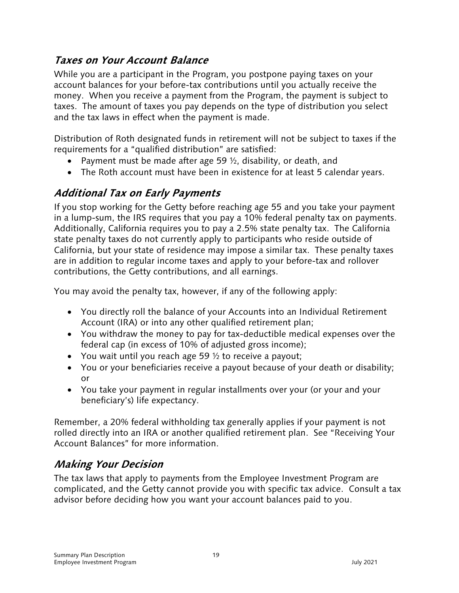#### **Taxes on Your Account Balance**

While you are a participant in the Program, you postpone paying taxes on your account balances for your before-tax contributions until you actually receive the money. When you receive a payment from the Program, the payment is subject to taxes. The amount of taxes you pay depends on the type of distribution you select and the tax laws in effect when the payment is made.

Distribution of Roth designated funds in retirement will not be subject to taxes if the requirements for a "qualified distribution" are satisfied:

- Payment must be made after age 59  $\frac{1}{2}$ , disability, or death, and
- The Roth account must have been in existence for at least 5 calendar years.

# **Additional Tax on Early Payments**

If you stop working for the Getty before reaching age 55 and you take your payment in a lump-sum, the IRS requires that you pay a 10% federal penalty tax on payments. Additionally, California requires you to pay a 2.5% state penalty tax. The California state penalty taxes do not currently apply to participants who reside outside of California, but your state of residence may impose a similar tax. These penalty taxes are in addition to regular income taxes and apply to your before-tax and rollover contributions, the Getty contributions, and all earnings.

You may avoid the penalty tax, however, if any of the following apply:

- You directly roll the balance of your Accounts into an Individual Retirement Account (IRA) or into any other qualified retirement plan;
- You withdraw the money to pay for tax-deductible medical expenses over the federal cap (in excess of 10% of adjusted gross income);
- You wait until you reach age 59  $\frac{1}{2}$  to receive a payout;
- You or your beneficiaries receive a payout because of your death or disability; or
- You take your payment in regular installments over your (or your and your beneficiary's) life expectancy.

Remember, a 20% federal withholding tax generally applies if your payment is not rolled directly into an IRA or another qualified retirement plan. See "Receiving Your Account Balances" for more information.

#### **Making Your Decision**

The tax laws that apply to payments from the Employee Investment Program are complicated, and the Getty cannot provide you with specific tax advice. Consult a tax advisor before deciding how you want your account balances paid to you.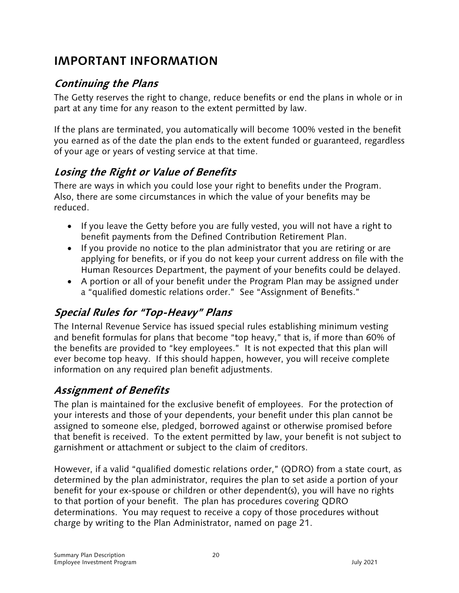# **IMPORTANT INFORMATION**

#### **Continuing the Plans**

The Getty reserves the right to change, reduce benefits or end the plans in whole or in part at any time for any reason to the extent permitted by law.

If the plans are terminated, you automatically will become 100% vested in the benefit you earned as of the date the plan ends to the extent funded or guaranteed, regardless of your age or years of vesting service at that time.

## **Losing the Right or Value of Benefits**

There are ways in which you could lose your right to benefits under the Program. Also, there are some circumstances in which the value of your benefits may be reduced.

- If you leave the Getty before you are fully vested, you will not have a right to benefit payments from the Defined Contribution Retirement Plan.
- If you provide no notice to the plan administrator that you are retiring or are applying for benefits, or if you do not keep your current address on file with the Human Resources Department, the payment of your benefits could be delayed.
- A portion or all of your benefit under the Program Plan may be assigned under a "qualified domestic relations order." See "Assignment of Benefits."

# **Special Rules for "Top-Heavy" Plans**

The Internal Revenue Service has issued special rules establishing minimum vesting and benefit formulas for plans that become "top heavy," that is, if more than 60% of the benefits are provided to "key employees." It is not expected that this plan will ever become top heavy. If this should happen, however, you will receive complete information on any required plan benefit adjustments.

# **Assignment of Benefits**

The plan is maintained for the exclusive benefit of employees. For the protection of your interests and those of your dependents, your benefit under this plan cannot be assigned to someone else, pledged, borrowed against or otherwise promised before that benefit is received. To the extent permitted by law, your benefit is not subject to garnishment or attachment or subject to the claim of creditors.

However, if a valid "qualified domestic relations order," (QDRO) from a state court, as determined by the plan administrator, requires the plan to set aside a portion of your benefit for your ex-spouse or children or other dependent(s), you will have no rights to that portion of your benefit. The plan has procedures covering QDRO determinations. You may request to receive a copy of those procedures without charge by writing to the Plan Administrator, named on page 21.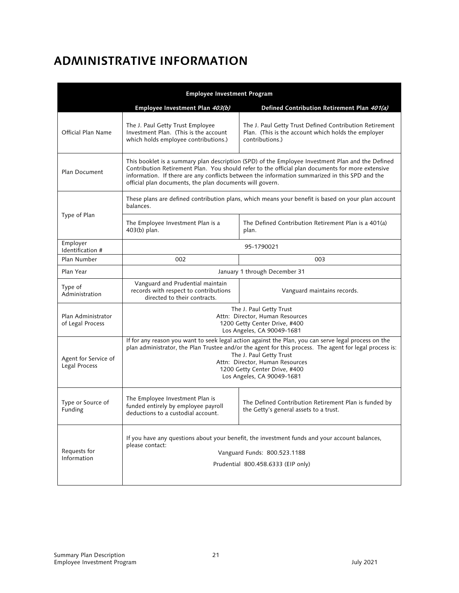# **ADMINISTRATIVE INFORMATION**

| <b>Employee Investment Program</b>     |                                                                                                                                                                                                                                                                                                                                                                    |                                                                                                                                                                                                                                                                                                                                              |
|----------------------------------------|--------------------------------------------------------------------------------------------------------------------------------------------------------------------------------------------------------------------------------------------------------------------------------------------------------------------------------------------------------------------|----------------------------------------------------------------------------------------------------------------------------------------------------------------------------------------------------------------------------------------------------------------------------------------------------------------------------------------------|
|                                        | Employee Investment Plan 403(b)                                                                                                                                                                                                                                                                                                                                    | Defined Contribution Retirement Plan 401(a)                                                                                                                                                                                                                                                                                                  |
| Official Plan Name                     | The J. Paul Getty Trust Employee<br>Investment Plan. (This is the account<br>which holds employee contributions.)                                                                                                                                                                                                                                                  | The J. Paul Getty Trust Defined Contribution Retirement<br>Plan. (This is the account which holds the employer<br>contributions.)                                                                                                                                                                                                            |
| Plan Document                          | This booklet is a summary plan description (SPD) of the Employee Investment Plan and the Defined<br>Contribution Retirement Plan. You should refer to the official plan documents for more extensive<br>information. If there are any conflicts between the information summarized in this SPD and the<br>official plan documents, the plan documents will govern. |                                                                                                                                                                                                                                                                                                                                              |
|                                        | These plans are defined contribution plans, which means your benefit is based on your plan account<br>balances.                                                                                                                                                                                                                                                    |                                                                                                                                                                                                                                                                                                                                              |
| Type of Plan                           | The Employee Investment Plan is a<br>403(b) plan.                                                                                                                                                                                                                                                                                                                  | The Defined Contribution Retirement Plan is a 401(a)<br>plan.                                                                                                                                                                                                                                                                                |
| Employer<br>Identification #           | 95-1790021                                                                                                                                                                                                                                                                                                                                                         |                                                                                                                                                                                                                                                                                                                                              |
| Plan Number                            | 002                                                                                                                                                                                                                                                                                                                                                                | 003                                                                                                                                                                                                                                                                                                                                          |
| Plan Year                              |                                                                                                                                                                                                                                                                                                                                                                    | January 1 through December 31                                                                                                                                                                                                                                                                                                                |
| Type of<br>Administration              | Vanguard and Prudential maintain<br>records with respect to contributions<br>directed to their contracts.                                                                                                                                                                                                                                                          | Vanguard maintains records.                                                                                                                                                                                                                                                                                                                  |
| Plan Administrator<br>of Legal Process |                                                                                                                                                                                                                                                                                                                                                                    | The J. Paul Getty Trust<br>Attn: Director, Human Resources<br>1200 Getty Center Drive, #400<br>Los Angeles, CA 90049-1681                                                                                                                                                                                                                    |
| Agent for Service of<br>Legal Process  |                                                                                                                                                                                                                                                                                                                                                                    | If for any reason you want to seek legal action against the Plan, you can serve legal process on the<br>plan administrator, the Plan Trustee and/or the agent for this process. The agent for legal process is:<br>The J. Paul Getty Trust<br>Attn: Director, Human Resources<br>1200 Getty Center Drive, #400<br>Los Angeles, CA 90049-1681 |
| Type or Source of<br>Funding           | The Employee Investment Plan is<br>funded entirely by employee payroll<br>deductions to a custodial account.                                                                                                                                                                                                                                                       | The Defined Contribution Retirement Plan is funded by<br>the Getty's general assets to a trust.                                                                                                                                                                                                                                              |
| Requests for<br>Information            | please contact:                                                                                                                                                                                                                                                                                                                                                    | If you have any questions about your benefit, the investment funds and your account balances,<br>Vanguard Funds: 800.523.1188<br>Prudential 800.458.6333 (EIP only)                                                                                                                                                                          |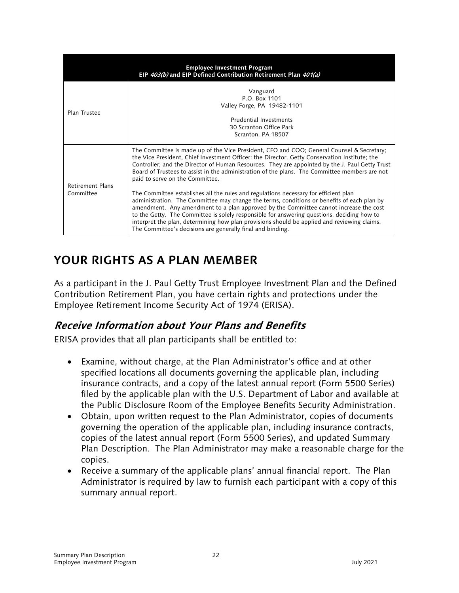|                                      | <b>Employee Investment Program</b><br>EIP 403(b) and EIP Defined Contribution Retirement Plan 401(a)                                                                                                                                                                                                                                                                                                                                                                                                                                   |
|--------------------------------------|----------------------------------------------------------------------------------------------------------------------------------------------------------------------------------------------------------------------------------------------------------------------------------------------------------------------------------------------------------------------------------------------------------------------------------------------------------------------------------------------------------------------------------------|
| Plan Trustee                         | Vanguard<br>P.O. Box 1101<br>Valley Forge, PA 19482-1101<br>Prudential Investments                                                                                                                                                                                                                                                                                                                                                                                                                                                     |
|                                      | 30 Scranton Office Park<br>Scranton, PA 18507                                                                                                                                                                                                                                                                                                                                                                                                                                                                                          |
| <b>Retirement Plans</b><br>Committee | The Committee is made up of the Vice President, CFO and COO; General Counsel & Secretary;<br>the Vice President, Chief Investment Officer; the Director, Getty Conservation Institute; the<br>Controller; and the Director of Human Resources. They are appointed by the J. Paul Getty Trust<br>Board of Trustees to assist in the administration of the plans. The Committee members are not<br>paid to serve on the Committee.                                                                                                       |
|                                      | The Committee establishes all the rules and regulations necessary for efficient plan<br>administration. The Committee may change the terms, conditions or benefits of each plan by<br>amendment. Any amendment to a plan approved by the Committee cannot increase the cost<br>to the Getty. The Committee is solely responsible for answering questions, deciding how to<br>interpret the plan, determining how plan provisions should be applied and reviewing claims.<br>The Committee's decisions are generally final and binding. |

# **YOUR RIGHTS AS A PLAN MEMBER**

As a participant in the J. Paul Getty Trust Employee Investment Plan and the Defined Contribution Retirement Plan, you have certain rights and protections under the Employee Retirement Income Security Act of 1974 (ERISA).

#### **Receive Information about Your Plans and Benefits**

ERISA provides that all plan participants shall be entitled to:

- Examine, without charge, at the Plan Administrator's office and at other specified locations all documents governing the applicable plan, including insurance contracts, and a copy of the latest annual report (Form 5500 Series) filed by the applicable plan with the U.S. Department of Labor and available at the Public Disclosure Room of the Employee Benefits Security Administration.
- Obtain, upon written request to the Plan Administrator, copies of documents governing the operation of the applicable plan, including insurance contracts, copies of the latest annual report (Form 5500 Series), and updated Summary Plan Description. The Plan Administrator may make a reasonable charge for the copies.
- Receive a summary of the applicable plans' annual financial report. The Plan Administrator is required by law to furnish each participant with a copy of this summary annual report.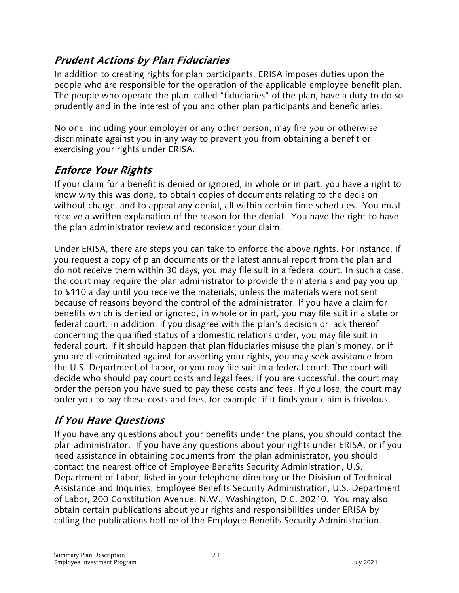## **Prudent Actions by Plan Fiduciaries**

In addition to creating rights for plan participants, ERISA imposes duties upon the people who are responsible for the operation of the applicable employee benefit plan. The people who operate the plan, called "fiduciaries" of the plan, have a duty to do so prudently and in the interest of you and other plan participants and beneficiaries.

No one, including your employer or any other person, may fire you or otherwise discriminate against you in any way to prevent you from obtaining a benefit or exercising your rights under ERISA.

# **Enforce Your Rights**

If your claim for a benefit is denied or ignored, in whole or in part, you have a right to know why this was done, to obtain copies of documents relating to the decision without charge, and to appeal any denial, all within certain time schedules. You must receive a written explanation of the reason for the denial. You have the right to have the plan administrator review and reconsider your claim.

Under ERISA, there are steps you can take to enforce the above rights. For instance, if you request a copy of plan documents or the latest annual report from the plan and do not receive them within 30 days, you may file suit in a federal court. In such a case, the court may require the plan administrator to provide the materials and pay you up to \$110 a day until you receive the materials, unless the materials were not sent because of reasons beyond the control of the administrator. If you have a claim for benefits which is denied or ignored, in whole or in part, you may file suit in a state or federal court. In addition, if you disagree with the plan's decision or lack thereof concerning the qualified status of a domestic relations order, you may file suit in federal court. If it should happen that plan fiduciaries misuse the plan's money, or if you are discriminated against for asserting your rights, you may seek assistance from the U.S. Department of Labor, or you may file suit in a federal court. The court will decide who should pay court costs and legal fees. If you are successful, the court may order the person you have sued to pay these costs and fees. If you lose, the court may order you to pay these costs and fees, for example, if it finds your claim is frivolous.

## **If You Have Questions**

If you have any questions about your benefits under the plans, you should contact the plan administrator. If you have any questions about your rights under ERISA, or if you need assistance in obtaining documents from the plan administrator, you should contact the nearest office of Employee Benefits Security Administration, U.S. Department of Labor, listed in your telephone directory or the Division of Technical Assistance and Inquiries, Employee Benefits Security Administration, U.S. Department of Labor, 200 Constitution Avenue, N.W., Washington, D.C. 20210. You may also obtain certain publications about your rights and responsibilities under ERISA by calling the publications hotline of the Employee Benefits Security Administration.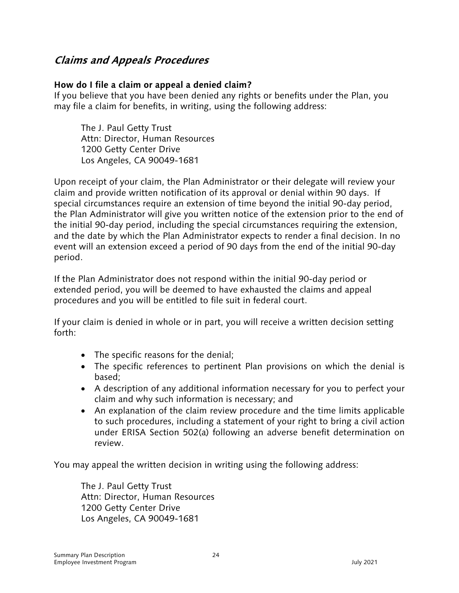#### **Claims and Appeals Procedures**

#### **How do I file a claim or appeal a denied claim?**

If you believe that you have been denied any rights or benefits under the Plan, you may file a claim for benefits, in writing, using the following address:

The J. Paul Getty Trust Attn: Director, Human Resources 1200 Getty Center Drive Los Angeles, CA 90049-1681

Upon receipt of your claim, the Plan Administrator or their delegate will review your claim and provide written notification of its approval or denial within 90 days. If special circumstances require an extension of time beyond the initial 90-day period, the Plan Administrator will give you written notice of the extension prior to the end of the initial 90-day period, including the special circumstances requiring the extension, and the date by which the Plan Administrator expects to render a final decision. In no event will an extension exceed a period of 90 days from the end of the initial 90-day period.

If the Plan Administrator does not respond within the initial 90-day period or extended period, you will be deemed to have exhausted the claims and appeal procedures and you will be entitled to file suit in federal court.

If your claim is denied in whole or in part, you will receive a written decision setting forth:

- The specific reasons for the denial;
- The specific references to pertinent Plan provisions on which the denial is based;
- A description of any additional information necessary for you to perfect your claim and why such information is necessary; and
- An explanation of the claim review procedure and the time limits applicable to such procedures, including a statement of your right to bring a civil action under ERISA Section 502(a) following an adverse benefit determination on review.

You may appeal the written decision in writing using the following address:

The J. Paul Getty Trust Attn: Director, Human Resources 1200 Getty Center Drive Los Angeles, CA 90049-1681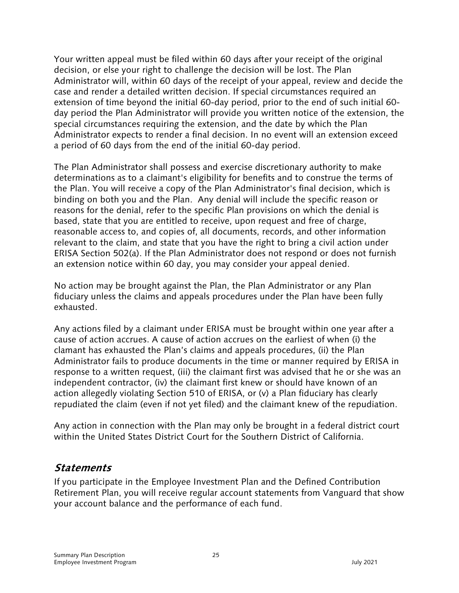Your written appeal must be filed within 60 days after your receipt of the original decision, or else your right to challenge the decision will be lost. The Plan Administrator will, within 60 days of the receipt of your appeal, review and decide the case and render a detailed written decision. If special circumstances required an extension of time beyond the initial 60-day period, prior to the end of such initial 60 day period the Plan Administrator will provide you written notice of the extension, the special circumstances requiring the extension, and the date by which the Plan Administrator expects to render a final decision. In no event will an extension exceed a period of 60 days from the end of the initial 60-day period.

The Plan Administrator shall possess and exercise discretionary authority to make determinations as to a claimant's eligibility for benefits and to construe the terms of the Plan. You will receive a copy of the Plan Administrator's final decision, which is binding on both you and the Plan. Any denial will include the specific reason or reasons for the denial, refer to the specific Plan provisions on which the denial is based, state that you are entitled to receive, upon request and free of charge, reasonable access to, and copies of, all documents, records, and other information relevant to the claim, and state that you have the right to bring a civil action under ERISA Section 502(a). If the Plan Administrator does not respond or does not furnish an extension notice within 60 day, you may consider your appeal denied.

No action may be brought against the Plan, the Plan Administrator or any Plan fiduciary unless the claims and appeals procedures under the Plan have been fully exhausted.

Any actions filed by a claimant under ERISA must be brought within one year after a cause of action accrues. A cause of action accrues on the earliest of when (i) the clamant has exhausted the Plan's claims and appeals procedures, (ii) the Plan Administrator fails to produce documents in the time or manner required by ERISA in response to a written request, (iii) the claimant first was advised that he or she was an independent contractor, (iv) the claimant first knew or should have known of an action allegedly violating Section 510 of ERISA, or (v) a Plan fiduciary has clearly repudiated the claim (even if not yet filed) and the claimant knew of the repudiation.

Any action in connection with the Plan may only be brought in a federal district court within the United States District Court for the Southern District of California.

#### **Statements**

If you participate in the Employee Investment Plan and the Defined Contribution Retirement Plan, you will receive regular account statements from Vanguard that show your account balance and the performance of each fund.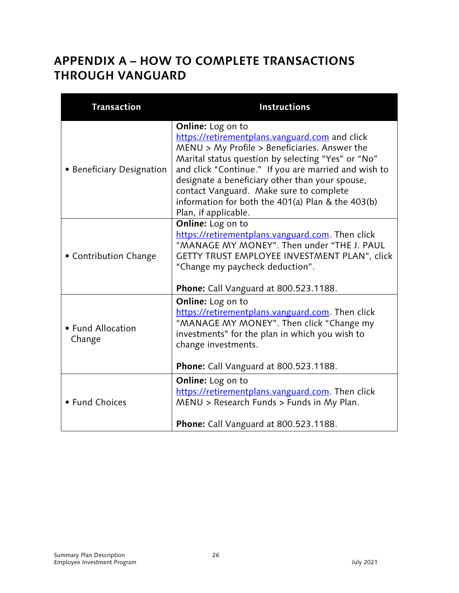# **APPENDIX A – HOW TO COMPLETE TRANSACTIONS THROUGH VANGUARD**

| <b>Transaction</b>          | <b>Instructions</b>                                                                                                                                                                                                                                                                                                                                                                                           |
|-----------------------------|---------------------------------------------------------------------------------------------------------------------------------------------------------------------------------------------------------------------------------------------------------------------------------------------------------------------------------------------------------------------------------------------------------------|
| • Beneficiary Designation   | Online: Log on to<br>https://retirementplans.vanguard.com and click<br>MENU > My Profile > Beneficiaries. Answer the<br>Marital status question by selecting "Yes" or "No"<br>and click "Continue." If you are married and wish to<br>designate a beneficiary other than your spouse,<br>contact Vanguard. Make sure to complete<br>information for both the 401(a) Plan & the 403(b)<br>Plan, if applicable. |
| • Contribution Change       | Online: Log on to<br>https://retirementplans.vanguard.com. Then click<br>"MANAGE MY MONEY". Then under "THE J. PAUL<br>GETTY TRUST EMPLOYEE INVESTMENT PLAN", click<br>"Change my paycheck deduction".<br>Phone: Call Vanguard at 800.523.1188.                                                                                                                                                               |
| • Fund Allocation<br>Change | <b>Online:</b> Log on to<br>https://retirementplans.vanguard.com. Then click<br>"MANAGE MY MONEY". Then click "Change my<br>investments" for the plan in which you wish to<br>change investments.<br>Phone: Call Vanguard at 800.523.1188.                                                                                                                                                                    |
| • Fund Choices              | <b>Online:</b> Log on to<br>https://retirementplans.vanguard.com. Then click<br>MENU > Research Funds > Funds in My Plan.<br>Phone: Call Vanguard at 800.523.1188.                                                                                                                                                                                                                                            |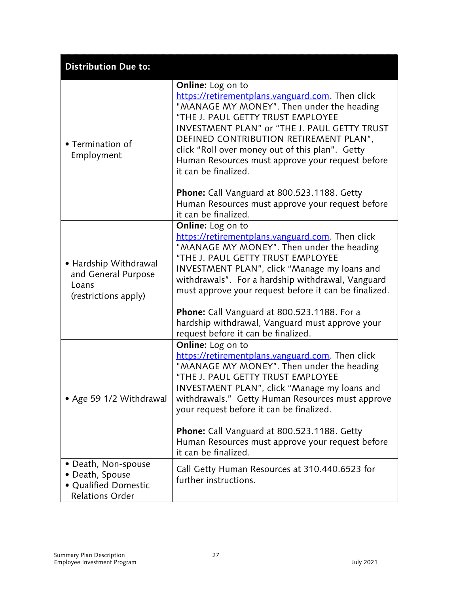| <b>Distribution Due to:</b>                                                              |                                                                                                                                                                                                                                                                                                                                                                                                                                                                                                   |
|------------------------------------------------------------------------------------------|---------------------------------------------------------------------------------------------------------------------------------------------------------------------------------------------------------------------------------------------------------------------------------------------------------------------------------------------------------------------------------------------------------------------------------------------------------------------------------------------------|
| • Termination of<br>Employment                                                           | <b>Online:</b> Log on to<br>https://retirementplans.vanguard.com. Then click<br>"MANAGE MY MONEY". Then under the heading<br>"THE J. PAUL GETTY TRUST EMPLOYEE<br>INVESTMENT PLAN" or "THE J. PAUL GETTY TRUST<br>DEFINED CONTRIBUTION RETIREMENT PLAN",<br>click "Roll over money out of this plan". Getty<br>Human Resources must approve your request before<br>it can be finalized.<br><b>Phone:</b> Call Vanguard at 800.523.1188. Getty<br>Human Resources must approve your request before |
| • Hardship Withdrawal<br>and General Purpose<br>Loans<br>(restrictions apply)            | it can be finalized.<br>Online: Log on to<br>https://retirementplans.vanguard.com. Then click<br>"MANAGE MY MONEY". Then under the heading<br>"THE J. PAUL GETTY TRUST EMPLOYEE<br>INVESTMENT PLAN", click "Manage my loans and<br>withdrawals". For a hardship withdrawal, Vanguard<br>must approve your request before it can be finalized.<br>Phone: Call Vanguard at 800.523.1188. For a<br>hardship withdrawal, Vanguard must approve your<br>request before it can be finalized.            |
| • Age 59 1/2 Withdrawal                                                                  | Online: Log on to<br>https://retirementplans.vanguard.com. Then click<br>"MANAGE MY MONEY". Then under the heading<br>"THE J. PAUL GETTY TRUST EMPLOYEE<br>INVESTMENT PLAN", click "Manage my loans and<br>withdrawals." Getty Human Resources must approve<br>your request before it can be finalized.<br>Phone: Call Vanguard at 800.523.1188. Getty<br>Human Resources must approve your request before<br>it can be finalized.                                                                |
| • Death, Non-spouse<br>• Death, Spouse<br>• Qualified Domestic<br><b>Relations Order</b> | Call Getty Human Resources at 310.440.6523 for<br>further instructions.                                                                                                                                                                                                                                                                                                                                                                                                                           |